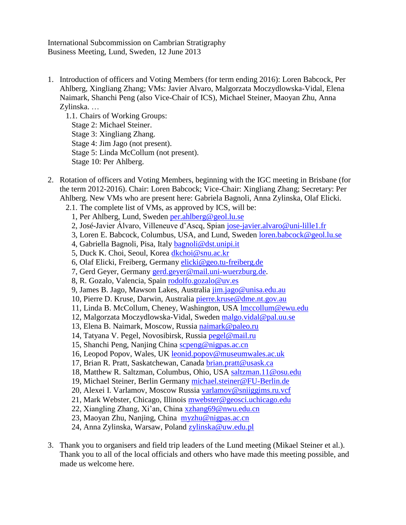International Subcommission on Cambrian Stratigraphy Business Meeting, Lund, Sweden, 12 June 2013

1. Introduction of officers and Voting Members (for term ending 2016): Loren Babcock, Per Ahlberg, Xingliang Zhang; VMs: Javier Alvaro, Malgorzata Moczydlowska-Vidal, Elena Naimark, Shanchi Peng (also Vice-Chair of ICS), Michael Steiner, Maoyan Zhu, Anna Zylinska. …

1.1. Chairs of Working Groups: Stage 2: Michael Steiner. Stage 3: Xingliang Zhang. Stage 4: Jim Jago (not present). Stage 5: Linda McCollum (not present). Stage 10: Per Ahlberg.

- 2. Rotation of officers and Voting Members, beginning with the IGC meeting in Brisbane (for the term 2012-2016). Chair: Loren Babcock; Vice-Chair: Xingliang Zhang; Secretary: Per Ahlberg. New VMs who are present here: Gabriela Bagnoli, Anna Zylinska, Olaf Elicki.
	- 2.1. The complete list of VMs, as approved by ICS, will be:
		- 1, Per Ahlberg, Lund, Sweden [per.ahlberg@geol.lu.se](mailto:per.ahlberg@geol.lu.se)
		- 2, José-Javier Álvaro, Villeneuve d'Ascq, Spian [jose-javier.alvaro@uni-lille1.fr](mailto:jose-javier.alvaro@uni-lille1.fr)
		- 3, Loren E. Babcock, Columbus, USA, and Lund, Sweden [loren.babcock@geol.lu.se](mailto:loren.babcock@geol.lu.se)
		- 4, Gabriella Bagnoli, Pisa, Italy [bagnoli@dst.unipi.it](mailto:bagnoli@dst.unipi.it)
		- 5, Duck K. Choi, Seoul, Korea [dkchoi@snu.ac.kr](mailto:dkchoi@snu.ac.kr)
		- 6, Olaf Elicki, Freiberg, Germany [elicki@geo.tu-freiberg.de](mailto:elicki@geo.tu-freiberg.de)
		- 7, Gerd Geyer, Germany [gerd.geyer@mail.uni-wuerzburg.de.](mailto:gerd.geyer@mail.uni-wuerzburg.de)
		- 8, R. Gozalo, Valencia, Spain [rodolfo.gozalo@uv.es](mailto:rodolfo.gozalo@uv.es)
		- 9, James B. Jago, Mawson Lakes, Australia [jim.jago@unisa.edu.au](mailto:jim.jago@unisa.edu.au)
		- 10, Pierre D. Kruse, Darwin, Australia [pierre.kruse@dme.nt.gov.au](mailto:pierre.kruse@dme.nt.gov.au)
		- 11, Linda B. McCollum, Cheney, Washington, USA [lmccollum@ewu.edu](mailto:lmccollum@ewu.edu)
		- 12, Malgorzata Moczydlowska-Vidal, Sweden [malgo.vidal@pal.uu.se](mailto:malgo.vidal@pal.uu.se)
		- 13, Elena B. Naimark, Moscow, Russia [naimark@paleo.ru](mailto:naimark@paleo.ru)
		- 14, Tatyana V. Pegel, Novosibirsk, Russia [pegel@mail.ru](mailto:pegel@mail.ru)
		- 15, Shanchi Peng, Nanjing China [scpeng@nigpas.ac.cn](mailto:scpeng@nigpas.ac.cn)
		- 16, Leopod Popov, Wales, UK leonid.popov@museumwales.ac.uk
		- 17, Brian R. Pratt, Saskatchewan, Canada [brian.pratt@usask.ca](mailto:brian.pratt@usask.ca)
		- 18, Matthew R. Saltzman, Columbus, Ohio, USA [saltzman.11@osu.edu](mailto:saltzman.11@osu.edu)
		- 19, Michael Steiner, Berlin Germany [michael.steiner@FU-Berlin.de](mailto:michael.steiner@FU-Berlin.de)
		- 20, Alexei I. Varlamov, Moscow Russia [varlamov@sniiggims.ru.vcf](mailto:varlamov@sniiggims.ru.vcf)
		- 21, Mark Webster, Chicago, Illinois [mwebster@geosci.uchicago.edu](mailto:mwebster@geosci.uchicago.edu)
		- 22, Xiangling Zhang, Xi'an, China [xzhang69@nwu.edu.cn](mailto:xzhang69@nwu.edu.cn)
		- 23, Maoyan Zhu, Nanjing, China [myzhu@nigpas.ac.cn](mailto:myzhu@nigpas.ac.cn)
		- 24, Anna Zylinska, Warsaw, Poland [zylinska@uw.edu.pl](mailto:zylinska@uw.edu.pl)
- 3. Thank you to organisers and field trip leaders of the Lund meeting (Mikael Steiner et al.). Thank you to all of the local officials and others who have made this meeting possible, and made us welcome here.